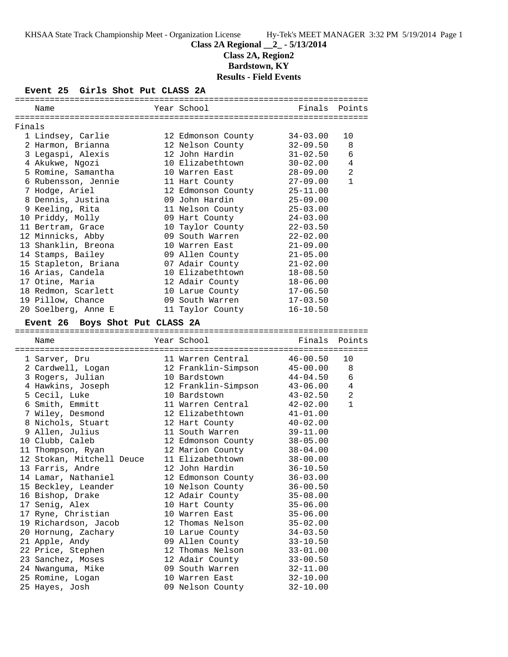# **Class 2A Regional \_\_2\_ - 5/13/2014**

**Class 2A, Region2**

**Bardstown, KY Results - Field Events**

### **Event 25 Girls Shot Put CLASS 2A**

|        | Name                               | Year School                        |                          | Finals Points  |
|--------|------------------------------------|------------------------------------|--------------------------|----------------|
| Finals |                                    |                                    |                          |                |
|        | 1 Lindsey, Carlie                  | 12 Edmonson County                 | $34 - 03.00$             | 10             |
|        | 2 Harmon, Brianna                  | 12 Nelson County                   | $32 - 09.50$             | 8              |
|        | 3 Legaspi, Alexis                  | 12 John Hardin                     | $31 - 02.50$             | 6              |
|        | 4 Akukwe, Ngozi                    | 10 Elizabethtown                   | $30 - 02.00$             | 4              |
|        | 5 Romine, Samantha                 | 10 Warren East                     | $28 - 09.00$             | $\overline{2}$ |
|        | 6 Rubensson, Jennie                | 11 Hart County                     | $27 - 09.00$             | $\mathbf{1}$   |
|        | 7 Hodge, Ariel                     | 12 Edmonson County                 | $25 - 11.00$             |                |
|        | 8 Dennis, Justina                  | 09 John Hardin                     | $25 - 09.00$             |                |
|        | 9 Keeling, Rita                    | 11 Nelson County                   | $25 - 03.00$             |                |
|        | 10 Priddy, Molly                   | 09 Hart County                     | $24 - 03.00$             |                |
|        | 11 Bertram, Grace                  | 10 Taylor County                   | $22 - 03.50$             |                |
|        | 12 Minnicks, Abby                  | 09 South Warren                    | $22 - 02.00$             |                |
|        | 13 Shanklin, Breona                | 10 Warren East                     | $21 - 09.00$             |                |
|        |                                    |                                    | $21 - 05.00$             |                |
|        | 14 Stamps, Bailey                  | 09 Allen County<br>07 Adair County | $21 - 02.00$             |                |
|        | 15 Stapleton, Briana               |                                    |                          |                |
|        | 16 Arias, Candela                  | 10 Elizabethtown                   | $18 - 08.50$             |                |
|        | 17 Otine, Maria                    | 12 Adair County                    | $18 - 06.00$             |                |
|        | 18 Redmon, Scarlett                | 10 Larue County                    | $17 - 06.50$             |                |
|        | 19 Pillow, Chance                  | 09 South Warren                    | $17 - 03.50$             |                |
|        | 20 Soelberg, Anne E                | 11 Taylor County                   | $16 - 10.50$             |                |
|        | Event 26 Boys Shot Put CLASS 2A    |                                    |                          |                |
|        | Name                               | Year School                        | Finals                   | Points         |
|        |                                    |                                    |                          |                |
|        | 1 Sarver, Dru                      | 11 Warren Central                  | $46 - 00.50$             | 10             |
|        | 2 Cardwell, Logan                  | 12 Franklin-Simpson                | $45 - 00.00$             | 8              |
|        | 3 Rogers, Julian                   | 10 Bardstown                       | $44 - 04.50$             | 6              |
|        | 4 Hawkins, Joseph                  | 12 Franklin-Simpson                | $43 - 06.00$             | 4              |
|        | 5 Cecil, Luke                      | 10 Bardstown                       | $43 - 02.50$             | 2              |
|        | 6 Smith, Emmitt                    | 11 Warren Central                  | $42 - 02.00$             | $\mathbf{1}$   |
|        | 7 Wiley, Desmond                   | 12 Elizabethtown                   | $41 - 01.00$             |                |
|        | 8 Nichols, Stuart                  | 12 Hart County                     | $40 - 02.00$             |                |
|        | 9 Allen, Julius                    | 11 South Warren                    | $39 - 11.00$             |                |
|        | 10 Clubb, Caleb                    | 12 Edmonson County                 | $38 - 05.00$             |                |
|        | 11 Thompson, Ryan                  | 12 Marion County                   | $38 - 04.00$             |                |
|        | 12 Stokan, Mitchell Deuce          | 11 Elizabethtown                   | $38 - 00.00$             |                |
|        | 13 Farris, Andre                   | 12 John Hardin                     | $36 - 10.50$             |                |
|        | 14 Lamar, Nathaniel                | 12 Edmonson County                 | $36 - 03.00$             |                |
|        | 15 Beckley, Leander                | 10 Nelson County                   | $36 - 00.50$             |                |
|        | 16 Bishop, Drake                   | 12 Adair County                    | $35 - 08.00$             |                |
|        | 17 Senig, Alex                     | 10 Hart County                     | $35 - 06.00$             |                |
|        | 17 Ryne, Christian                 | 10 Warren East                     | $35 - 06.00$             |                |
|        | 19 Richardson, Jacob               | 12 Thomas Nelson                   | $35 - 02.00$             |                |
|        | 20 Hornung, Zachary                | 10 Larue County                    | $34 - 03.50$             |                |
|        | 21 Apple, Andy                     | 09 Allen County                    | $33 - 10.50$             |                |
|        | 22 Price, Stephen                  | 12 Thomas Nelson                   | $33 - 01.00$             |                |
|        | 23 Sanchez, Moses                  | 12 Adair County                    | $33 - 00.50$             |                |
|        |                                    |                                    |                          |                |
|        | 24 Nwanguma, Mike                  | 09 South Warren                    | $32 - 11.00$             |                |
|        | 25 Romine, Logan<br>25 Hayes, Josh | 10 Warren East<br>09 Nelson County | $32 - 10.00$<br>32-10.00 |                |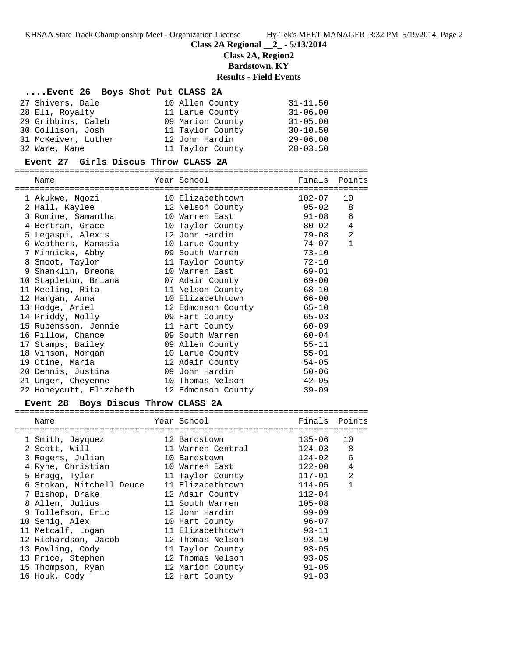**Class 2A Regional \_\_2\_ - 5/13/2014**

# **Class 2A, Region2**

**Bardstown, KY**

# **Results - Field Events**

# **....Event 26 Boys Shot Put CLASS 2A**

| 27 Shivers, Dale    | 10 Allen County  | $31 - 11.50$ |
|---------------------|------------------|--------------|
| 28 Eli, Royalty     | 11 Larue County  | $31 - 06.00$ |
| 29 Gribbins, Caleb  | 09 Marion County | $31 - 05.00$ |
| 30 Collison, Josh   | 11 Taylor County | $30 - 10.50$ |
| 31 McKeiver, Luther | 12 John Hardin   | $29 - 06.00$ |
| 32 Ware, Kane       | 11 Taylor County | $28 - 03.50$ |

### **Event 27 Girls Discus Throw CLASS 2A**

=======================================================================

| Name                    | Year School              | Finals    | Points         |
|-------------------------|--------------------------|-----------|----------------|
| 1 Akukwe, Ngozi         | 10 Elizabethtown         | 102-07    | 10             |
| 2 Hall, Kaylee          | 12 Nelson County 95-02 8 |           |                |
| 3 Romine, Samantha      | 10 Warren East 91-08     |           | 6              |
| 4 Bertram, Grace        | 10 Taylor County         | $80 - 02$ | 4              |
| 5 Legaspi, Alexis       | 12 John Hardin           | $79 - 08$ | $\overline{2}$ |
| 6 Weathers, Kanasia     | 10 Larue County          | 74-07     | $\mathbf{1}$   |
| 7 Minnicks, Abby        | 09 South Warren          | $73 - 10$ |                |
| 8 Smoot, Taylor         | 11 Taylor County 72-10   |           |                |
| 9 Shanklin, Breona      | 10 Warren East           | 69-01     |                |
| 10 Stapleton, Briana    | 07 Adair County 69-00    |           |                |
| 11 Keeling, Rita        | 11 Nelson County 68-10   |           |                |
| 12 Harqan, Anna         | 10 Elizabethtown         | 66-00     |                |
| 13 Hodge, Ariel         | 12 Edmonson County 65-10 |           |                |
| 14 Priddy, Molly        | 09 Hart County           | $65 - 03$ |                |
| 15 Rubensson, Jennie    | 11 Hart County           | 60-09     |                |
| 16 Pillow, Chance       | 09 South Warren          | $60 - 04$ |                |
| 17 Stamps, Bailey       | 09 Allen County          | 55-11     |                |
| 18 Vinson, Morgan       | 10 Larue County 55-01    |           |                |
| 19 Otine, Maria         | 12 Adair County          | $54 - 05$ |                |
| 20 Dennis, Justina      | 09 John Hardin           | $50 - 06$ |                |
| 21 Unger, Cheyenne      | 10 Thomas Nelson         | $42 - 05$ |                |
| 22 Honeycutt, Elizabeth | 12 Edmonson County       | $39 - 09$ |                |

### **Event 28 Boys Discus Throw CLASS 2A**

| Name                     | Year School       | Finals     | Points         |
|--------------------------|-------------------|------------|----------------|
|                          |                   |            |                |
| 1 Smith, Jayquez         | 12 Bardstown      | $135 - 06$ | 10             |
| 2 Scott, Will            | 11 Warren Central | $124 - 03$ | 8              |
| 3 Rogers, Julian         | 10 Bardstown      | $124 - 02$ | 6              |
| 4 Ryne, Christian        | 10 Warren East    | $122 - 00$ | 4              |
| 5 Bragg, Tyler           | 11 Taylor County  | $117 - 01$ | $\mathfrak{D}$ |
| 6 Stokan, Mitchell Deuce | 11 Elizabethtown  | $114 - 05$ | $\mathbf{1}$   |
| 7 Bishop, Drake          | 12 Adair County   | $112 - 04$ |                |
| 8 Allen, Julius          | 11 South Warren   | $105 - 08$ |                |
| 9 Tollefson, Eric        | 12 John Hardin    | $99 - 09$  |                |
| 10 Senig, Alex           | 10 Hart County    | $96 - 07$  |                |
| 11 Metcalf, Logan        | 11 Elizabethtown  | $93 - 11$  |                |
| 12 Richardson, Jacob     | 12 Thomas Nelson  | $93 - 10$  |                |
| 13 Bowling, Cody         | 11 Taylor County  | $93 - 05$  |                |
| 13 Price, Stephen        | 12 Thomas Nelson  | $93 - 05$  |                |
| 15 Thompson, Ryan        | 12 Marion County  | $91 - 05$  |                |
| 16 Houk, Cody            | 12 Hart County    | $91 - 03$  |                |
|                          |                   |            |                |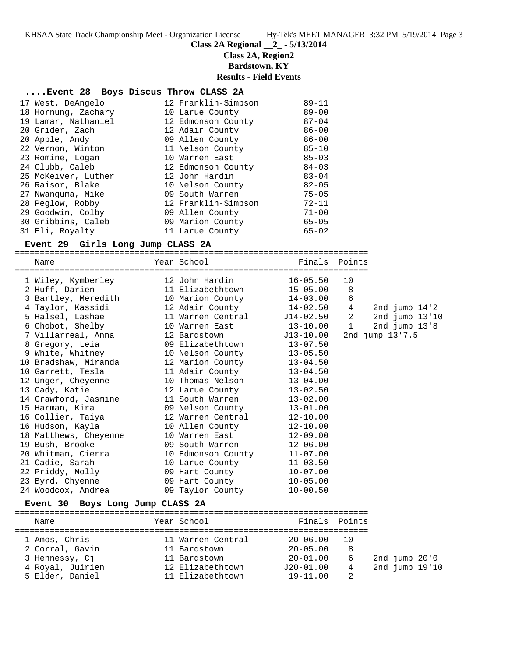# **Class 2A Regional \_\_2\_ - 5/13/2014**

**Class 2A, Region2**

**Bardstown, KY**

### **Results - Field Events**

# **....Event 28 Boys Discus Throw CLASS 2A**

| 17 West, DeAngelo   | 12 Franklin-Simpson | $89 - 11$ |
|---------------------|---------------------|-----------|
| 18 Hornung, Zachary | 10 Larue County     | $89 - 00$ |
| 19 Lamar, Nathaniel | 12 Edmonson County  | $87 - 04$ |
| 20 Grider, Zach     | 12 Adair County     | $86 - 00$ |
| 20 Apple, Andy      | 09 Allen County     | $86 - 00$ |
| 22 Vernon, Winton   | 11 Nelson County    | $85 - 10$ |
| 23 Romine, Logan    | 10 Warren East      | $85 - 03$ |
| 24 Clubb, Caleb     | 12 Edmonson County  | $84 - 03$ |
| 25 McKeiver, Luther | 12 John Hardin      | $83 - 04$ |
| 26 Raisor, Blake    | 10 Nelson County    | $82 - 05$ |
| 27 Nwanquma, Mike   | 09 South Warren     | $75 - 05$ |
| 28 Peglow, Robby    | 12 Franklin-Simpson | $72 - 11$ |
| 29 Goodwin, Colby   | 09 Allen County     | $71 - 00$ |
| 30 Gribbins, Caleb  | 09 Marion County    | $65 - 05$ |
| 31 Eli, Royalty     | 11 Larue County     | $65 - 02$ |

# **Event 29 Girls Long Jump CLASS 2A**

=======================================================================

| Name                                                                                                                                      | Year School                                                                                              | Finals       | Points      |                   |
|-------------------------------------------------------------------------------------------------------------------------------------------|----------------------------------------------------------------------------------------------------------|--------------|-------------|-------------------|
| 1 Wiley, Kymberley                                                                                                                        | 12 John Hardin                                                                                           | $16 - 05.50$ | 10          |                   |
| 2 Huff, Darien                                                                                                                            | 11 Elizabethtown                                                                                         | $15 - 05.00$ | 8           |                   |
| 3 Bartley, Meredith                                                                                                                       | 10 Marion County                                                                                         | $14 - 03.00$ | 6           |                   |
| 4 Taylor, Kassidi                                                                                                                         | 12 Adair County                                                                                          | $14 - 02.50$ | 4           | 2nd jump $14'2$   |
| 5 Halsel, Lashae                                                                                                                          | 11 Warren Central                                                                                        | J14-02.50    | 2           | 2nd jump $13'10$  |
| 6 Chobot, Shelby                                                                                                                          | 10 Warren East                                                                                           | $13 - 10.00$ | $\mathbf 1$ | 2nd $jump$ $13'8$ |
| 7 Villarreal, Anna                                                                                                                        | 12 Bardstown                                                                                             | $J13-10.00$  |             | 2nd jump 13'7.5   |
| 8 Gregory, Leia                                                                                                                           | 09 Elizabethtown                                                                                         | $13 - 07.50$ |             |                   |
| 9 White, Whitney                                                                                                                          | 10 Nelson County                                                                                         | $13 - 05.50$ |             |                   |
| 10 Bradshaw, Miranda                                                                                                                      | 12 Marion County                                                                                         | $13 - 04.50$ |             |                   |
| 10 Garrett, Tesla                                                                                                                         | 11 Adair County                                                                                          | $13 - 04.50$ |             |                   |
| 12 Unger, Cheyenne                                                                                                                        | 10 Thomas Nelson                                                                                         | $13 - 04.00$ |             |                   |
| 13 Cady, Katie                                                                                                                            | 12 Larue County                                                                                          | $13 - 02.50$ |             |                   |
| 14 Crawford, Jasmine                                                                                                                      | 11 South Warren                                                                                          | $13 - 02.00$ |             |                   |
| 15 Harman, Kira                                                                                                                           | 09 Nelson County                                                                                         | $13 - 01.00$ |             |                   |
| 16 Collier, Taiya                                                                                                                         | 12 Warren Central                                                                                        | $12 - 10.00$ |             |                   |
| 16 Hudson, Kayla                                                                                                                          | 10 Allen County                                                                                          | $12 - 10.00$ |             |                   |
| 18 Matthews, Cheyenne                                                                                                                     | 10 Warren East                                                                                           | $12 - 09.00$ |             |                   |
| 19 Bush, Brooke                                                                                                                           | 09 South Warren                                                                                          | $12 - 06.00$ |             |                   |
| 20 Whitman, Cierra                                                                                                                        | 10 Edmonson County                                                                                       | $11 - 07.00$ |             |                   |
| 21 Cadie, Sarah                                                                                                                           | 10 Larue County                                                                                          | $11 - 03.50$ |             |                   |
| 22 Priddy, Molly                                                                                                                          | 09 Hart County                                                                                           | $10 - 07.00$ |             |                   |
| 23 Byrd, Chyenne                                                                                                                          | 09 Hart County                                                                                           | $10 - 05.00$ |             |                   |
| 24 Woodcox, Andrea                                                                                                                        | 09 Taylor County                                                                                         | $10 - 00.50$ |             |                   |
| $\mathbf{F}_{\text{total}}$ $\mathbf{A}$ $\mathbf{A}$ $\mathbf{B}_{\text{total}}$ $\mathbf{F}_{\text{total}}$ $\mathbf{F}_{\text{total}}$ | $\overline{a}$ $\overline{a}$ $\overline{a}$ $\overline{a}$ $\overline{a}$ $\overline{a}$ $\overline{a}$ |              |             |                   |

#### **Event 30 Boys Long Jump CLASS 2A**

| Name             |  | Year School       | Finals Points |                 |  |  |                  |  |  |  |  |
|------------------|--|-------------------|---------------|-----------------|--|--|------------------|--|--|--|--|
|                  |  |                   |               |                 |  |  |                  |  |  |  |  |
| 1 Amos, Chris    |  | 11 Warren Central | $20 - 06.00$  | $\overline{10}$ |  |  |                  |  |  |  |  |
| 2 Corral, Gavin  |  | 11 Bardstown      | $20 - 05.00$  | -8              |  |  |                  |  |  |  |  |
| 3 Hennessy, Ci   |  | 11 Bardstown      | $20 - 01.00$  | 6               |  |  | 2nd $jump$ 20'0  |  |  |  |  |
| 4 Royal, Juirien |  | 12 Elizabethtown  | $J20-01.00$   | 4               |  |  | 2nd $jump 19'10$ |  |  |  |  |
| 5 Elder, Daniel  |  | 11 Elizabethtown  | $19 - 11.00$  | -2              |  |  |                  |  |  |  |  |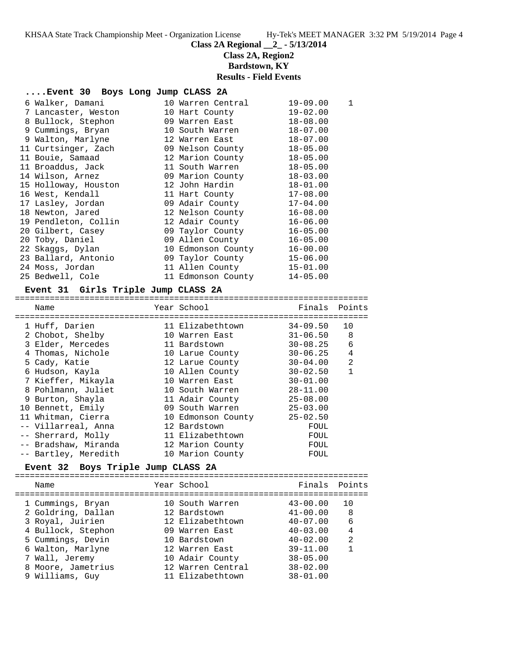**Class 2A Regional \_\_2\_ - 5/13/2014**

### **Class 2A, Region2**

**Bardstown, KY**

**Results - Field Events**

| Event 30 Boys Long Jump CLASS 2A |  |  |  |  |  |
|----------------------------------|--|--|--|--|--|
|----------------------------------|--|--|--|--|--|

|  | 6 Walker, Damani                                        | 10 Warren Central           | $19 - 09.00$ | $\mathbf 1$ |
|--|---------------------------------------------------------|-----------------------------|--------------|-------------|
|  |                                                         |                             | $19 - 02.00$ |             |
|  | 8 Bullock, Stephon                                      | 09 Warren East              | $18 - 08.00$ |             |
|  | 9 Cummings, Bryan                                       | 10 South Warren             | $18 - 07.00$ |             |
|  | 9 Walton, Marlyne                                       | 12 Warren East              | $18 - 07.00$ |             |
|  | 11 Curtsinger, Zach                                     | 09 Nelson County            | $18 - 05.00$ |             |
|  | 11 Bouie, Samaad                                        | 12 Marion County            | $18 - 05.00$ |             |
|  | 11 Broaddus, Jack                                       | 11 South Warren             | $18 - 05.00$ |             |
|  | 14 Wilson, Arnez                       09 Marion County |                             | $18 - 03.00$ |             |
|  | 15 Holloway, Houston               12 John Hardin       |                             | $18 - 01.00$ |             |
|  |                                                         |                             | 17-08.00     |             |
|  | 17 Lasley, Jordan 69 Adair County                       |                             | $17-04.00$   |             |
|  | 18 Newton, Jared                                        | 12 Nelson County            | $16 - 08.00$ |             |
|  | 19 Pendleton, Collin                                    | 12 Adair County             | $16 - 06.00$ |             |
|  | 20 Gilbert, Casey                                       | 09 Taylor County            | $16 - 05.00$ |             |
|  | 20 Toby, Daniel                                         | 09 Allen County             | $16 - 05.00$ |             |
|  | 22 Skaqqs, Dylan                                        | 10 Edmonson County          | $16 - 00.00$ |             |
|  | 23 Ballard, Antonio                                     | 09 Taylor County            | $15 - 06.00$ |             |
|  | 24 Moss, Jordan                                         | 11 Allen County             | $15 - 01.00$ |             |
|  | 25 Bedwell, Cole                                        | 11 Edmonson County 14-05.00 |              |             |
|  |                                                         |                             |              |             |

#### **Event 31 Girls Triple Jump CLASS 2A**

=======================================================================

| Name                 | Year School        | Finals       | Points |
|----------------------|--------------------|--------------|--------|
| 1 Huff, Darien       | 11 Elizabethtown   | 34-09.50     | 10     |
| 2 Chobot, Shelby     | 10 Warren East     | $31 - 06.50$ | -8     |
| 3 Elder, Mercedes    | 11 Bardstown       | $30 - 08.25$ | 6      |
| 4 Thomas, Nichole    | 10 Larue County    | $30 - 06.25$ | 4      |
| 5 Cady, Katie        | 12 Larue County    | $30 - 04.00$ | 2      |
| 6 Hudson, Kayla      | 10 Allen County    | $30 - 02.50$ | 1      |
| 7 Kieffer, Mikayla   | 10 Warren East     | $30 - 01.00$ |        |
| 8 Pohlmann, Juliet   | 10 South Warren    | $28 - 11.00$ |        |
| 9 Burton, Shayla     | 11 Adair County    | $25 - 08.00$ |        |
| 10 Bennett, Emily    | 09 South Warren    | $25 - 03.00$ |        |
| 11 Whitman, Cierra   | 10 Edmonson County | $25 - 02.50$ |        |
| -- Villarreal, Anna  | 12 Bardstown       | FOUL         |        |
| -- Sherrard, Molly   | 11 Elizabethtown   | FOUL         |        |
| -- Bradshaw, Miranda | 12 Marion County   | FOUL         |        |
| -- Bartley, Meredith | 10 Marion County   | FOUL         |        |

#### **Event 32 Boys Triple Jump CLASS 2A**

======================================================================= Name The Year School The Finals Points ======================================================================= 1 Cummings, Bryan 10 South Warren 43-00.00 10 2 Goldring, Dallan 12 Bardstown 41-00.00 8 3 Royal, Juirien 12 Elizabethtown 40-07.00 6 4 Bullock, Stephon 09 Warren East 40-03.00 4 5 Cummings, Devin 10 Bardstown 40-02.00 2 6 Walton, Marlyne 12 Warren East 39-11.00 1 7 Wall, Jeremy 10 Adair County 38-05.00 8 Moore, Jametrius 12 Warren Central 38-02.00 9 Williams, Guy 11 Elizabethtown 38-01.00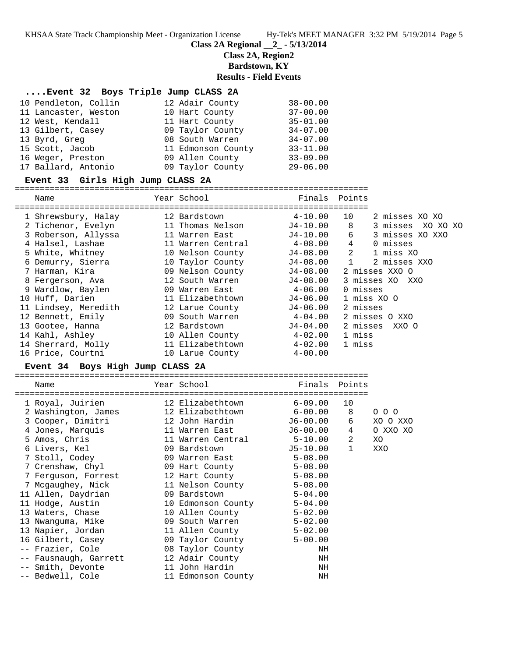**Class 2A Regional \_\_2\_ - 5/13/2014**

**Class 2A, Region2**

**Bardstown, KY**

**Results - Field Events**

#### **....Event 32 Boys Triple Jump CLASS 2A**

| 10 Pendleton, Collin | 12 Adair County    | $38 - 00.00$ |
|----------------------|--------------------|--------------|
| 11 Lancaster, Weston | 10 Hart County     | $37 - 00.00$ |
| 12 West, Kendall     | 11 Hart County     | $35 - 01.00$ |
| 13 Gilbert, Casey    | 09 Taylor County   | $34 - 07.00$ |
| 13 Byrd, Greg        | 08 South Warren    | $34 - 07.00$ |
| 15 Scott, Jacob      | 11 Edmonson County | $33 - 11.00$ |
| 16 Weger, Preston    | 09 Allen County    | $33 - 09.00$ |
| 17 Ballard, Antonio  | 09 Taylor County   | $29 - 06.00$ |

#### **Event 33 Girls High Jump CLASS 2A**

======================================================================= Name The Year School Team Points Points ======================================================================= 1 Shrewsbury, Halay 12 Bardstown 4-10.00 10 2 misses XO XO 2 Tichenor, Evelyn 11 Thomas Nelson J4-10.00 8 3 misses XO XO XO 3 Roberson, Allyssa 11 Warren East J4-10.00 6 3 misses XO XXO 4 Halsel, Lashae 11 Warren Central 4-08.00 4 0 misses 5 White, Whitney 10 Nelson County J4-08.00 2 1 miss XO 6 Demurry, Sierra 10 Taylor County J4-08.00 1 2 misses XXO 7 Harman, Kira 09 Nelson County J4-08.00 2 misses XXO O 8 Fergerson, Ava 12 South Warren J4-08.00 3 misses XO XXO 9 Wardlow, Baylen 09 Warren East 4-06.00 0 misses 10 Huff, Darien 11 Elizabethtown J4-06.00 1 miss XO O 11 Lindsey, Meredith 12 Larue County J4-06.00 2 misses 12 Bennett, Emily 09 South Warren 4-04.00 2 misses O XXO 13 Gootee, Hanna 12 Bardstown J4-04.00 2 misses XXO O 14 Kahl, Ashley 10 Allen County 4-02.00 1 miss 14 Sherrard, Molly 11 Elizabethtown 4-02.00 1 miss 16 Price, Courtni 10 Larue County 4-00.00 **Event 34 Boys High Jump CLASS 2A** =======================================================================

| Name                  | Year School        | Finals      | Points       |          |
|-----------------------|--------------------|-------------|--------------|----------|
| 1 Royal, Juirien      | 12 Elizabethtown   | $6 - 09.00$ | 10           |          |
| 2 Washington, James   | 12 Elizabethtown   | 6-00.00     | 8            | 000      |
| 3 Cooper, Dimitri     | 12 John Hardin     | J6-00.00    | 6            | XO O XXO |
| 4 Jones, Marquis      | 11 Warren East     | J6-00.00    | 4            | O XXO XO |
| 5 Amos, Chris         | 11 Warren Central  | 5-10.00     | 2            | XO       |
| 6 Livers, Kel         | 09 Bardstown       | J5-10.00    | $\mathbf{1}$ | XXO      |
| 7 Stoll, Codey        | 09 Warren East     | $5 - 08.00$ |              |          |
| 7 Crenshaw, Chyl      | 09 Hart County     | $5 - 08.00$ |              |          |
| 7 Ferquson, Forrest   | 12 Hart County     | $5 - 08.00$ |              |          |
| 7 Mcgaughey, Nick     | 11 Nelson County   | $5 - 08.00$ |              |          |
| 11 Allen, Daydrian    | 09 Bardstown       | $5 - 04.00$ |              |          |
| 11 Hodge, Austin      | 10 Edmonson County | $5 - 04.00$ |              |          |
| 13 Waters, Chase      | 10 Allen County    | $5 - 02.00$ |              |          |
| 13 Nwanquma, Mike     | 09 South Warren    | $5 - 02.00$ |              |          |
| 13 Napier, Jordan     | 11 Allen County    | $5 - 02.00$ |              |          |
| 16 Gilbert, Casey     | 09 Taylor County   | $5 - 00.00$ |              |          |
| -- Frazier, Cole      | 08 Taylor County   | ΝH          |              |          |
| -- Fausnaugh, Garrett | 12 Adair County    | ΝH          |              |          |
| -- Smith, Devonte     | 11 John Hardin     | ΝH          |              |          |
| -- Bedwell, Cole      | 11 Edmonson County | ΝH          |              |          |
|                       |                    |             |              |          |